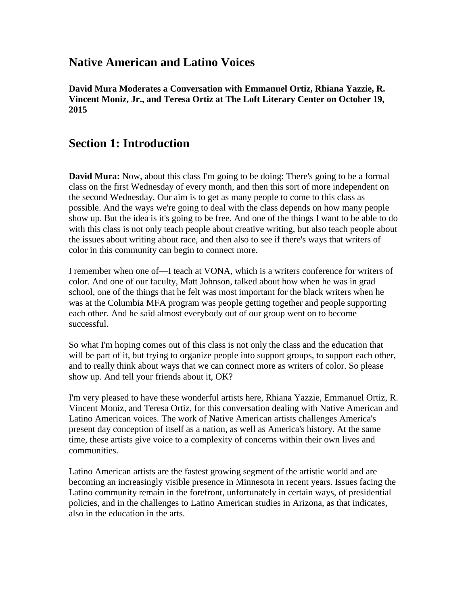# **Native American and Latino Voices**

**David Mura Moderates a Conversation with Emmanuel Ortiz, Rhiana Yazzie, R. Vincent Moniz, Jr., and Teresa Ortiz at The Loft Literary Center on October 19, 2015**

## **Section 1: Introduction**

**David Mura:** Now, about this class I'm going to be doing: There's going to be a formal class on the first Wednesday of every month, and then this sort of more independent on the second Wednesday. Our aim is to get as many people to come to this class as possible. And the ways we're going to deal with the class depends on how many people show up. But the idea is it's going to be free. And one of the things I want to be able to do with this class is not only teach people about creative writing, but also teach people about the issues about writing about race, and then also to see if there's ways that writers of color in this community can begin to connect more.

I remember when one of—I teach at VONA, which is a writers conference for writers of color. And one of our faculty, Matt Johnson, talked about how when he was in grad school, one of the things that he felt was most important for the black writers when he was at the Columbia MFA program was people getting together and people supporting each other. And he said almost everybody out of our group went on to become successful.

So what I'm hoping comes out of this class is not only the class and the education that will be part of it, but trying to organize people into support groups, to support each other, and to really think about ways that we can connect more as writers of color. So please show up. And tell your friends about it, OK?

I'm very pleased to have these wonderful artists here, Rhiana Yazzie, Emmanuel Ortiz, R. Vincent Moniz, and Teresa Ortiz, for this conversation dealing with Native American and Latino American voices. The work of Native American artists challenges America's present day conception of itself as a nation, as well as America's history. At the same time, these artists give voice to a complexity of concerns within their own lives and communities.

Latino American artists are the fastest growing segment of the artistic world and are becoming an increasingly visible presence in Minnesota in recent years. Issues facing the Latino community remain in the forefront, unfortunately in certain ways, of presidential policies, and in the challenges to Latino American studies in Arizona, as that indicates, also in the education in the arts.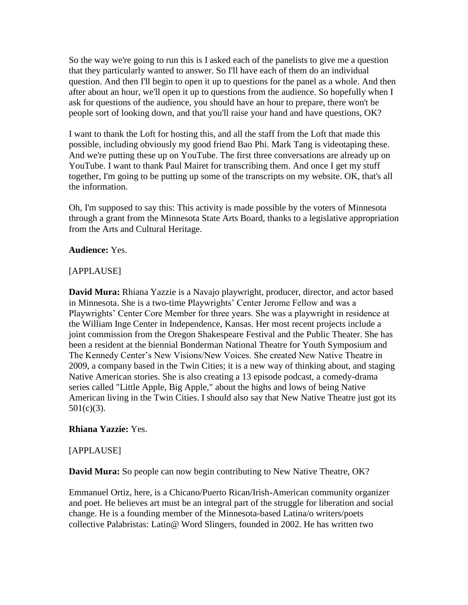So the way we're going to run this is I asked each of the panelists to give me a question that they particularly wanted to answer. So I'll have each of them do an individual question. And then I'll begin to open it up to questions for the panel as a whole. And then after about an hour, we'll open it up to questions from the audience. So hopefully when I ask for questions of the audience, you should have an hour to prepare, there won't be people sort of looking down, and that you'll raise your hand and have questions, OK?

I want to thank the Loft for hosting this, and all the staff from the Loft that made this possible, including obviously my good friend Bao Phi. Mark Tang is videotaping these. And we're putting these up on YouTube. The first three conversations are already up on YouTube. I want to thank Paul Mairet for transcribing them. And once I get my stuff together, I'm going to be putting up some of the transcripts on my website. OK, that's all the information.

Oh, I'm supposed to say this: This activity is made possible by the voters of Minnesota through a grant from the Minnesota State Arts Board, thanks to a legislative appropriation from the Arts and Cultural Heritage.

### **Audience:** Yes.

### [APPLAUSE]

**David Mura:** Rhiana Yazzie is a Navajo playwright, producer, director, and actor based in Minnesota. She is a two-time Playwrights' Center Jerome Fellow and was a Playwrights' Center Core Member for three years. She was a playwright in residence at the William Inge Center in Independence, Kansas. Her most recent projects include a joint commission from the Oregon Shakespeare Festival and the Public Theater. She has been a resident at the biennial Bonderman National Theatre for Youth Symposium and The Kennedy Center's New Visions/New Voices. She created New Native Theatre in 2009, a company based in the Twin Cities; it is a new way of thinking about, and staging Native American stories. She is also creating a 13 episode podcast, a comedy-drama series called "Little Apple, Big Apple," about the highs and lows of being Native American living in the Twin Cities. I should also say that New Native Theatre just got its  $501(c)(3)$ .

### **Rhiana Yazzie:** Yes.

### [APPLAUSE]

**David Mura:** So people can now begin contributing to New Native Theatre, OK?

Emmanuel Ortiz, here, is a Chicano/Puerto Rican/Irish-American community organizer and poet. He believes art must be an integral part of the struggle for liberation and social change. He is a founding member of the Minnesota-based Latina/o writers/poets collective Palabristas: Latin@ Word Slingers, founded in 2002. He has written two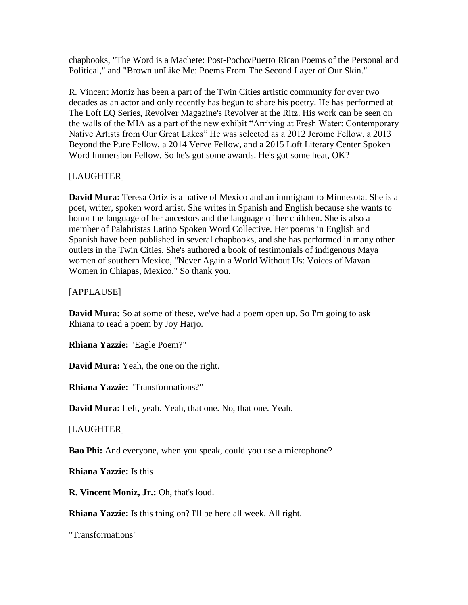chapbooks, "The Word is a Machete: Post-Pocho/Puerto Rican Poems of the Personal and Political," and "Brown unLike Me: Poems From The Second Layer of Our Skin."

R. Vincent Moniz has been a part of the Twin Cities artistic community for over two decades as an actor and only recently has begun to share his poetry. He has performed at The Loft EQ Series, Revolver Magazine's Revolver at the Ritz. His work can be seen on the walls of the MIA as a part of the new exhibit "Arriving at Fresh Water: Contemporary Native Artists from Our Great Lakes" He was selected as a 2012 Jerome Fellow, a 2013 Beyond the Pure Fellow, a 2014 Verve Fellow, and a 2015 Loft Literary Center Spoken Word Immersion Fellow. So he's got some awards. He's got some heat, OK?

## [LAUGHTER]

**David Mura:** Teresa Ortiz is a native of Mexico and an immigrant to Minnesota. She is a poet, writer, spoken word artist. She writes in Spanish and English because she wants to honor the language of her ancestors and the language of her children. She is also a member of Palabristas Latino Spoken Word Collective. Her poems in English and Spanish have been published in several chapbooks, and she has performed in many other outlets in the Twin Cities. She's authored a book of testimonials of indigenous Maya women of southern Mexico, "Never Again a World Without Us: Voices of Mayan Women in Chiapas, Mexico." So thank you.

### [APPLAUSE]

**David Mura:** So at some of these, we've had a poem open up. So I'm going to ask Rhiana to read a poem by Joy Harjo.

**Rhiana Yazzie:** "Eagle Poem?"

**David Mura:** Yeah, the one on the right.

**Rhiana Yazzie:** "Transformations?"

**David Mura:** Left, yeah. Yeah, that one. No, that one. Yeah.

[LAUGHTER]

**Bao Phi:** And everyone, when you speak, could you use a microphone?

**Rhiana Yazzie:** Is this—

**R. Vincent Moniz, Jr.:** Oh, that's loud.

**Rhiana Yazzie:** Is this thing on? I'll be here all week. All right.

"Transformations"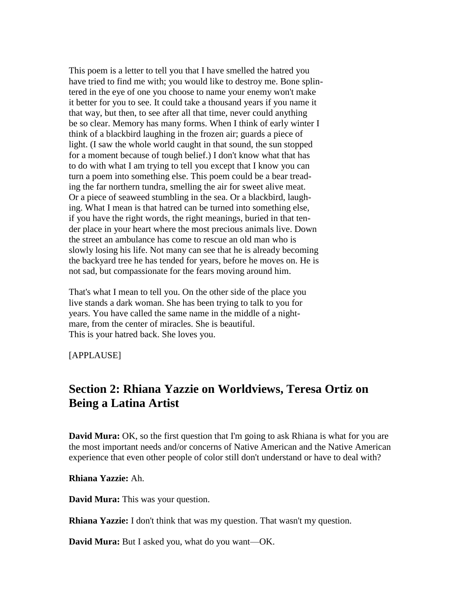This poem is a letter to tell you that I have smelled the hatred you have tried to find me with; you would like to destroy me. Bone splintered in the eye of one you choose to name your enemy won't make it better for you to see. It could take a thousand years if you name it that way, but then, to see after all that time, never could anything be so clear. Memory has many forms. When I think of early winter I think of a blackbird laughing in the frozen air; guards a piece of light. (I saw the whole world caught in that sound, the sun stopped for a moment because of tough belief.) I don't know what that has to do with what I am trying to tell you except that I know you can turn a poem into something else. This poem could be a bear treading the far northern tundra, smelling the air for sweet alive meat. Or a piece of seaweed stumbling in the sea. Or a blackbird, laughing. What I mean is that hatred can be turned into something else, if you have the right words, the right meanings, buried in that tender place in your heart where the most precious animals live. Down the street an ambulance has come to rescue an old man who is slowly losing his life. Not many can see that he is already becoming the backyard tree he has tended for years, before he moves on. He is not sad, but compassionate for the fears moving around him.

That's what I mean to tell you. On the other side of the place you live stands a dark woman. She has been trying to talk to you for years. You have called the same name in the middle of a nightmare, from the center of miracles. She is beautiful. This is your hatred back. She loves you.

[APPLAUSE]

# **Section 2: Rhiana Yazzie on Worldviews, Teresa Ortiz on Being a Latina Artist**

**David Mura:** OK, so the first question that I'm going to ask Rhiana is what for you are the most important needs and/or concerns of Native American and the Native American experience that even other people of color still don't understand or have to deal with?

**Rhiana Yazzie:** Ah.

**David Mura:** This was your question.

**Rhiana Yazzie:** I don't think that was my question. That wasn't my question.

**David Mura:** But I asked you, what do you want—OK.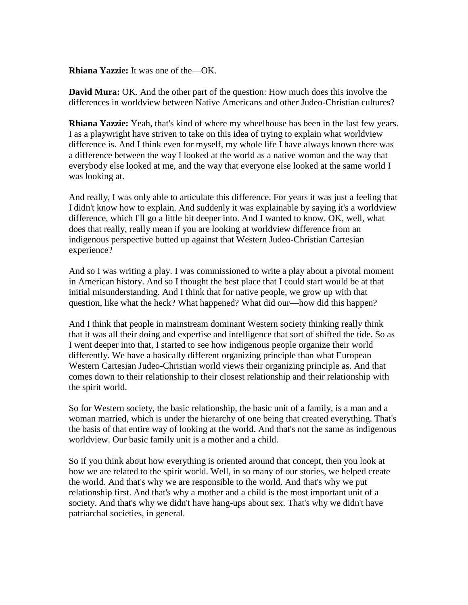#### **Rhiana Yazzie:** It was one of the—OK.

**David Mura:** OK. And the other part of the question: How much does this involve the differences in worldview between Native Americans and other Judeo-Christian cultures?

**Rhiana Yazzie:** Yeah, that's kind of where my wheelhouse has been in the last few years. I as a playwright have striven to take on this idea of trying to explain what worldview difference is. And I think even for myself, my whole life I have always known there was a difference between the way I looked at the world as a native woman and the way that everybody else looked at me, and the way that everyone else looked at the same world I was looking at.

And really, I was only able to articulate this difference. For years it was just a feeling that I didn't know how to explain. And suddenly it was explainable by saying it's a worldview difference, which I'll go a little bit deeper into. And I wanted to know, OK, well, what does that really, really mean if you are looking at worldview difference from an indigenous perspective butted up against that Western Judeo-Christian Cartesian experience?

And so I was writing a play. I was commissioned to write a play about a pivotal moment in American history. And so I thought the best place that I could start would be at that initial misunderstanding. And I think that for native people, we grow up with that question, like what the heck? What happened? What did our—how did this happen?

And I think that people in mainstream dominant Western society thinking really think that it was all their doing and expertise and intelligence that sort of shifted the tide. So as I went deeper into that, I started to see how indigenous people organize their world differently. We have a basically different organizing principle than what European Western Cartesian Judeo-Christian world views their organizing principle as. And that comes down to their relationship to their closest relationship and their relationship with the spirit world.

So for Western society, the basic relationship, the basic unit of a family, is a man and a woman married, which is under the hierarchy of one being that created everything. That's the basis of that entire way of looking at the world. And that's not the same as indigenous worldview. Our basic family unit is a mother and a child.

So if you think about how everything is oriented around that concept, then you look at how we are related to the spirit world. Well, in so many of our stories, we helped create the world. And that's why we are responsible to the world. And that's why we put relationship first. And that's why a mother and a child is the most important unit of a society. And that's why we didn't have hang-ups about sex. That's why we didn't have patriarchal societies, in general.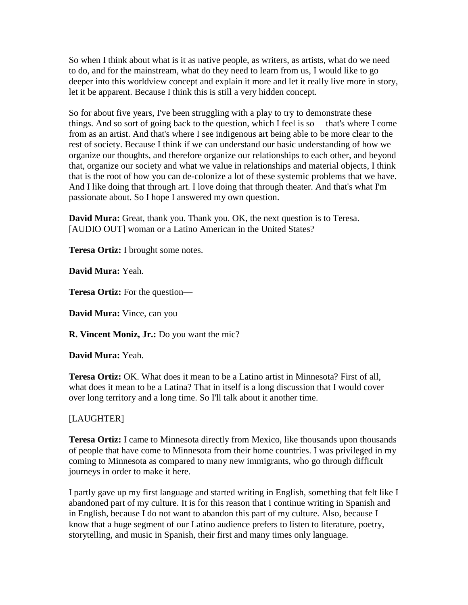So when I think about what is it as native people, as writers, as artists, what do we need to do, and for the mainstream, what do they need to learn from us, I would like to go deeper into this worldview concept and explain it more and let it really live more in story, let it be apparent. Because I think this is still a very hidden concept.

So for about five years, I've been struggling with a play to try to demonstrate these things. And so sort of going back to the question, which I feel is so— that's where I come from as an artist. And that's where I see indigenous art being able to be more clear to the rest of society. Because I think if we can understand our basic understanding of how we organize our thoughts, and therefore organize our relationships to each other, and beyond that, organize our society and what we value in relationships and material objects, I think that is the root of how you can de-colonize a lot of these systemic problems that we have. And I like doing that through art. I love doing that through theater. And that's what I'm passionate about. So I hope I answered my own question.

**David Mura:** Great, thank you. Thank you. OK, the next question is to Teresa. [AUDIO OUT] woman or a Latino American in the United States?

**Teresa Ortiz:** I brought some notes.

**David Mura:** Yeah.

**Teresa Ortiz:** For the question—

**David Mura:** Vince, can you—

**R. Vincent Moniz, Jr.:** Do you want the mic?

**David Mura:** Yeah.

**Teresa Ortiz:** OK. What does it mean to be a Latino artist in Minnesota? First of all, what does it mean to be a Latina? That in itself is a long discussion that I would cover over long territory and a long time. So I'll talk about it another time.

[LAUGHTER]

**Teresa Ortiz:** I came to Minnesota directly from Mexico, like thousands upon thousands of people that have come to Minnesota from their home countries. I was privileged in my coming to Minnesota as compared to many new immigrants, who go through difficult journeys in order to make it here.

I partly gave up my first language and started writing in English, something that felt like I abandoned part of my culture. It is for this reason that I continue writing in Spanish and in English, because I do not want to abandon this part of my culture. Also, because I know that a huge segment of our Latino audience prefers to listen to literature, poetry, storytelling, and music in Spanish, their first and many times only language.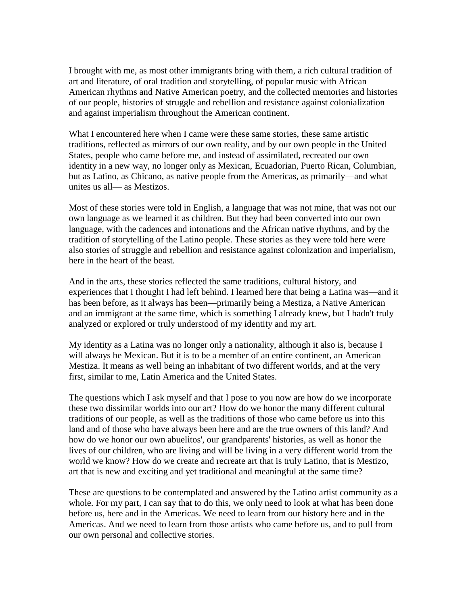I brought with me, as most other immigrants bring with them, a rich cultural tradition of art and literature, of oral tradition and storytelling, of popular music with African American rhythms and Native American poetry, and the collected memories and histories of our people, histories of struggle and rebellion and resistance against colonialization and against imperialism throughout the American continent.

What I encountered here when I came were these same stories, these same artistic traditions, reflected as mirrors of our own reality, and by our own people in the United States, people who came before me, and instead of assimilated, recreated our own identity in a new way, no longer only as Mexican, Ecuadorian, Puerto Rican, Columbian, but as Latino, as Chicano, as native people from the Americas, as primarily—and what unites us all— as Mestizos.

Most of these stories were told in English, a language that was not mine, that was not our own language as we learned it as children. But they had been converted into our own language, with the cadences and intonations and the African native rhythms, and by the tradition of storytelling of the Latino people. These stories as they were told here were also stories of struggle and rebellion and resistance against colonization and imperialism, here in the heart of the beast.

And in the arts, these stories reflected the same traditions, cultural history, and experiences that I thought I had left behind. I learned here that being a Latina was—and it has been before, as it always has been—primarily being a Mestiza, a Native American and an immigrant at the same time, which is something I already knew, but I hadn't truly analyzed or explored or truly understood of my identity and my art.

My identity as a Latina was no longer only a nationality, although it also is, because I will always be Mexican. But it is to be a member of an entire continent, an American Mestiza. It means as well being an inhabitant of two different worlds, and at the very first, similar to me, Latin America and the United States.

The questions which I ask myself and that I pose to you now are how do we incorporate these two dissimilar worlds into our art? How do we honor the many different cultural traditions of our people, as well as the traditions of those who came before us into this land and of those who have always been here and are the true owners of this land? And how do we honor our own abuelitos', our grandparents' histories, as well as honor the lives of our children, who are living and will be living in a very different world from the world we know? How do we create and recreate art that is truly Latino, that is Mestizo, art that is new and exciting and yet traditional and meaningful at the same time?

These are questions to be contemplated and answered by the Latino artist community as a whole. For my part, I can say that to do this, we only need to look at what has been done before us, here and in the Americas. We need to learn from our history here and in the Americas. And we need to learn from those artists who came before us, and to pull from our own personal and collective stories.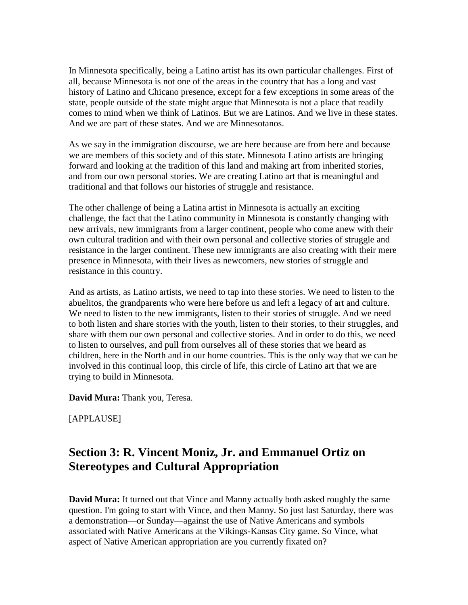In Minnesota specifically, being a Latino artist has its own particular challenges. First of all, because Minnesota is not one of the areas in the country that has a long and vast history of Latino and Chicano presence, except for a few exceptions in some areas of the state, people outside of the state might argue that Minnesota is not a place that readily comes to mind when we think of Latinos. But we are Latinos. And we live in these states. And we are part of these states. And we are Minnesotanos.

As we say in the immigration discourse, we are here because are from here and because we are members of this society and of this state. Minnesota Latino artists are bringing forward and looking at the tradition of this land and making art from inherited stories, and from our own personal stories. We are creating Latino art that is meaningful and traditional and that follows our histories of struggle and resistance.

The other challenge of being a Latina artist in Minnesota is actually an exciting challenge, the fact that the Latino community in Minnesota is constantly changing with new arrivals, new immigrants from a larger continent, people who come anew with their own cultural tradition and with their own personal and collective stories of struggle and resistance in the larger continent. These new immigrants are also creating with their mere presence in Minnesota, with their lives as newcomers, new stories of struggle and resistance in this country.

And as artists, as Latino artists, we need to tap into these stories. We need to listen to the abuelitos, the grandparents who were here before us and left a legacy of art and culture. We need to listen to the new immigrants, listen to their stories of struggle. And we need to both listen and share stories with the youth, listen to their stories, to their struggles, and share with them our own personal and collective stories. And in order to do this, we need to listen to ourselves, and pull from ourselves all of these stories that we heard as children, here in the North and in our home countries. This is the only way that we can be involved in this continual loop, this circle of life, this circle of Latino art that we are trying to build in Minnesota.

**David Mura:** Thank you, Teresa.

[APPLAUSE]

# **Section 3: R. Vincent Moniz, Jr. and Emmanuel Ortiz on Stereotypes and Cultural Appropriation**

**David Mura:** It turned out that Vince and Manny actually both asked roughly the same question. I'm going to start with Vince, and then Manny. So just last Saturday, there was a demonstration—or Sunday—against the use of Native Americans and symbols associated with Native Americans at the Vikings-Kansas City game. So Vince, what aspect of Native American appropriation are you currently fixated on?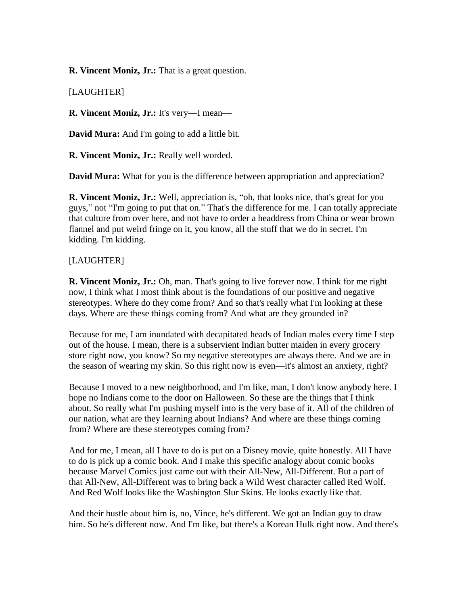**R. Vincent Moniz, Jr.:** That is a great question.

[LAUGHTER]

**R. Vincent Moniz, Jr.:** It's very—I mean—

**David Mura:** And I'm going to add a little bit.

**R. Vincent Moniz, Jr.:** Really well worded.

**David Mura:** What for you is the difference between appropriation and appreciation?

**R. Vincent Moniz, Jr.:** Well, appreciation is, "oh, that looks nice, that's great for you guys," not "I'm going to put that on." That's the difference for me. I can totally appreciate that culture from over here, and not have to order a headdress from China or wear brown flannel and put weird fringe on it, you know, all the stuff that we do in secret. I'm kidding. I'm kidding.

### [LAUGHTER]

**R. Vincent Moniz, Jr.:** Oh, man. That's going to live forever now. I think for me right now, I think what I most think about is the foundations of our positive and negative stereotypes. Where do they come from? And so that's really what I'm looking at these days. Where are these things coming from? And what are they grounded in?

Because for me, I am inundated with decapitated heads of Indian males every time I step out of the house. I mean, there is a subservient Indian butter maiden in every grocery store right now, you know? So my negative stereotypes are always there. And we are in the season of wearing my skin. So this right now is even—it's almost an anxiety, right?

Because I moved to a new neighborhood, and I'm like, man, I don't know anybody here. I hope no Indians come to the door on Halloween. So these are the things that I think about. So really what I'm pushing myself into is the very base of it. All of the children of our nation, what are they learning about Indians? And where are these things coming from? Where are these stereotypes coming from?

And for me, I mean, all I have to do is put on a Disney movie, quite honestly. All I have to do is pick up a comic book. And I make this specific analogy about comic books because Marvel Comics just came out with their All-New, All-Different. But a part of that All-New, All-Different was to bring back a Wild West character called Red Wolf. And Red Wolf looks like the Washington Slur Skins. He looks exactly like that.

And their hustle about him is, no, Vince, he's different. We got an Indian guy to draw him. So he's different now. And I'm like, but there's a Korean Hulk right now. And there's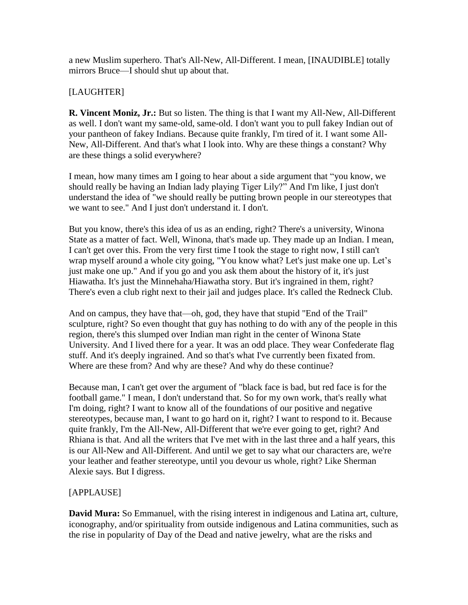a new Muslim superhero. That's All-New, All-Different. I mean, [INAUDIBLE] totally mirrors Bruce—I should shut up about that.

## [LAUGHTER]

**R. Vincent Moniz, Jr.:** But so listen. The thing is that I want my All-New, All-Different as well. I don't want my same-old, same-old. I don't want you to pull fakey Indian out of your pantheon of fakey Indians. Because quite frankly, I'm tired of it. I want some All-New, All-Different. And that's what I look into. Why are these things a constant? Why are these things a solid everywhere?

I mean, how many times am I going to hear about a side argument that "you know, we should really be having an Indian lady playing Tiger Lily?" And I'm like, I just don't understand the idea of "we should really be putting brown people in our stereotypes that we want to see." And I just don't understand it. I don't.

But you know, there's this idea of us as an ending, right? There's a university, Winona State as a matter of fact. Well, Winona, that's made up. They made up an Indian. I mean, I can't get over this. From the very first time I took the stage to right now, I still can't wrap myself around a whole city going, "You know what? Let's just make one up. Let's just make one up." And if you go and you ask them about the history of it, it's just Hiawatha. It's just the Minnehaha/Hiawatha story. But it's ingrained in them, right? There's even a club right next to their jail and judges place. It's called the Redneck Club.

And on campus, they have that—oh, god, they have that stupid "End of the Trail" sculpture, right? So even thought that guy has nothing to do with any of the people in this region, there's this slumped over Indian man right in the center of Winona State University. And I lived there for a year. It was an odd place. They wear Confederate flag stuff. And it's deeply ingrained. And so that's what I've currently been fixated from. Where are these from? And why are these? And why do these continue?

Because man, I can't get over the argument of "black face is bad, but red face is for the football game." I mean, I don't understand that. So for my own work, that's really what I'm doing, right? I want to know all of the foundations of our positive and negative stereotypes, because man, I want to go hard on it, right? I want to respond to it. Because quite frankly, I'm the All-New, All-Different that we're ever going to get, right? And Rhiana is that. And all the writers that I've met with in the last three and a half years, this is our All-New and All-Different. And until we get to say what our characters are, we're your leather and feather stereotype, until you devour us whole, right? Like Sherman Alexie says. But I digress.

## [APPLAUSE]

**David Mura:** So Emmanuel, with the rising interest in indigenous and Latina art, culture, iconography, and/or spirituality from outside indigenous and Latina communities, such as the rise in popularity of Day of the Dead and native jewelry, what are the risks and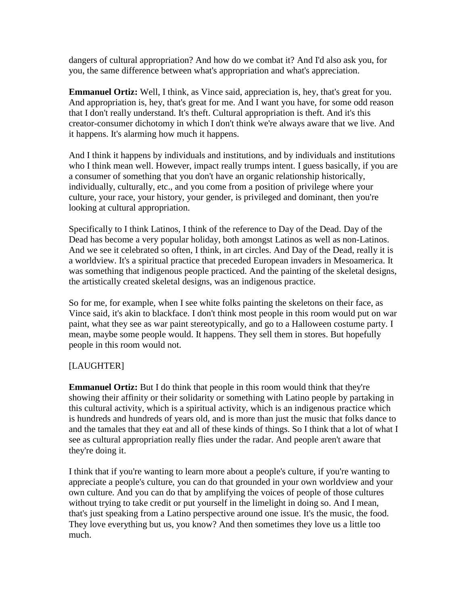dangers of cultural appropriation? And how do we combat it? And I'd also ask you, for you, the same difference between what's appropriation and what's appreciation.

**Emmanuel Ortiz:** Well, I think, as Vince said, appreciation is, hey, that's great for you. And appropriation is, hey, that's great for me. And I want you have, for some odd reason that I don't really understand. It's theft. Cultural appropriation is theft. And it's this creator-consumer dichotomy in which I don't think we're always aware that we live. And it happens. It's alarming how much it happens.

And I think it happens by individuals and institutions, and by individuals and institutions who I think mean well. However, impact really trumps intent. I guess basically, if you are a consumer of something that you don't have an organic relationship historically, individually, culturally, etc., and you come from a position of privilege where your culture, your race, your history, your gender, is privileged and dominant, then you're looking at cultural appropriation.

Specifically to I think Latinos, I think of the reference to Day of the Dead. Day of the Dead has become a very popular holiday, both amongst Latinos as well as non-Latinos. And we see it celebrated so often, I think, in art circles. And Day of the Dead, really it is a worldview. It's a spiritual practice that preceded European invaders in Mesoamerica. It was something that indigenous people practiced. And the painting of the skeletal designs, the artistically created skeletal designs, was an indigenous practice.

So for me, for example, when I see white folks painting the skeletons on their face, as Vince said, it's akin to blackface. I don't think most people in this room would put on war paint, what they see as war paint stereotypically, and go to a Halloween costume party. I mean, maybe some people would. It happens. They sell them in stores. But hopefully people in this room would not.

### [LAUGHTER]

**Emmanuel Ortiz:** But I do think that people in this room would think that they're showing their affinity or their solidarity or something with Latino people by partaking in this cultural activity, which is a spiritual activity, which is an indigenous practice which is hundreds and hundreds of years old, and is more than just the music that folks dance to and the tamales that they eat and all of these kinds of things. So I think that a lot of what I see as cultural appropriation really flies under the radar. And people aren't aware that they're doing it.

I think that if you're wanting to learn more about a people's culture, if you're wanting to appreciate a people's culture, you can do that grounded in your own worldview and your own culture. And you can do that by amplifying the voices of people of those cultures without trying to take credit or put yourself in the limelight in doing so. And I mean, that's just speaking from a Latino perspective around one issue. It's the music, the food. They love everything but us, you know? And then sometimes they love us a little too much.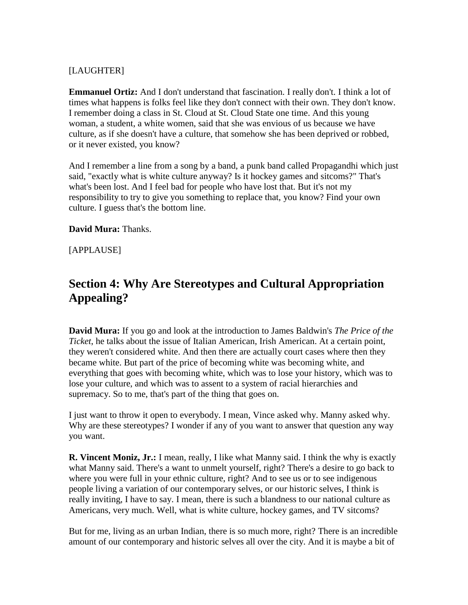## [LAUGHTER]

**Emmanuel Ortiz:** And I don't understand that fascination. I really don't. I think a lot of times what happens is folks feel like they don't connect with their own. They don't know. I remember doing a class in St. Cloud at St. Cloud State one time. And this young woman, a student, a white women, said that she was envious of us because we have culture, as if she doesn't have a culture, that somehow she has been deprived or robbed, or it never existed, you know?

And I remember a line from a song by a band, a punk band called Propagandhi which just said, "exactly what is white culture anyway? Is it hockey games and sitcoms?" That's what's been lost. And I feel bad for people who have lost that. But it's not my responsibility to try to give you something to replace that, you know? Find your own culture. I guess that's the bottom line.

### **David Mura:** Thanks.

[APPLAUSE]

# **Section 4: Why Are Stereotypes and Cultural Appropriation Appealing?**

**David Mura:** If you go and look at the introduction to James Baldwin's *The Price of the Ticket*, he talks about the issue of Italian American, Irish American. At a certain point, they weren't considered white. And then there are actually court cases where then they became white. But part of the price of becoming white was becoming white, and everything that goes with becoming white, which was to lose your history, which was to lose your culture, and which was to assent to a system of racial hierarchies and supremacy. So to me, that's part of the thing that goes on.

I just want to throw it open to everybody. I mean, Vince asked why. Manny asked why. Why are these stereotypes? I wonder if any of you want to answer that question any way you want.

**R. Vincent Moniz, Jr.:** I mean, really, I like what Manny said. I think the why is exactly what Manny said. There's a want to unmelt yourself, right? There's a desire to go back to where you were full in your ethnic culture, right? And to see us or to see indigenous people living a variation of our contemporary selves, or our historic selves, I think is really inviting, I have to say. I mean, there is such a blandness to our national culture as Americans, very much. Well, what is white culture, hockey games, and TV sitcoms?

But for me, living as an urban Indian, there is so much more, right? There is an incredible amount of our contemporary and historic selves all over the city. And it is maybe a bit of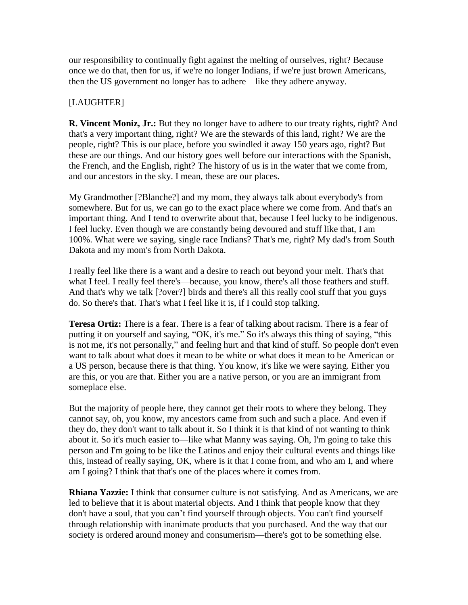our responsibility to continually fight against the melting of ourselves, right? Because once we do that, then for us, if we're no longer Indians, if we're just brown Americans, then the US government no longer has to adhere—like they adhere anyway.

## [LAUGHTER]

**R. Vincent Moniz, Jr.:** But they no longer have to adhere to our treaty rights, right? And that's a very important thing, right? We are the stewards of this land, right? We are the people, right? This is our place, before you swindled it away 150 years ago, right? But these are our things. And our history goes well before our interactions with the Spanish, the French, and the English, right? The history of us is in the water that we come from, and our ancestors in the sky. I mean, these are our places.

My Grandmother [?Blanche?] and my mom, they always talk about everybody's from somewhere. But for us, we can go to the exact place where we come from. And that's an important thing. And I tend to overwrite about that, because I feel lucky to be indigenous. I feel lucky. Even though we are constantly being devoured and stuff like that, I am 100%. What were we saying, single race Indians? That's me, right? My dad's from South Dakota and my mom's from North Dakota.

I really feel like there is a want and a desire to reach out beyond your melt. That's that what I feel. I really feel there's—because, you know, there's all those feathers and stuff. And that's why we talk [?over?] birds and there's all this really cool stuff that you guys do. So there's that. That's what I feel like it is, if I could stop talking.

**Teresa Ortiz:** There is a fear. There is a fear of talking about racism. There is a fear of putting it on yourself and saying, "OK, it's me." So it's always this thing of saying, "this is not me, it's not personally," and feeling hurt and that kind of stuff. So people don't even want to talk about what does it mean to be white or what does it mean to be American or a US person, because there is that thing. You know, it's like we were saying. Either you are this, or you are that. Either you are a native person, or you are an immigrant from someplace else.

But the majority of people here, they cannot get their roots to where they belong. They cannot say, oh, you know, my ancestors came from such and such a place. And even if they do, they don't want to talk about it. So I think it is that kind of not wanting to think about it. So it's much easier to—like what Manny was saying. Oh, I'm going to take this person and I'm going to be like the Latinos and enjoy their cultural events and things like this, instead of really saying, OK, where is it that I come from, and who am I, and where am I going? I think that that's one of the places where it comes from.

**Rhiana Yazzie:** I think that consumer culture is not satisfying. And as Americans, we are led to believe that it is about material objects. And I think that people know that they don't have a soul, that you can't find yourself through objects. You can't find yourself through relationship with inanimate products that you purchased. And the way that our society is ordered around money and consumerism—there's got to be something else.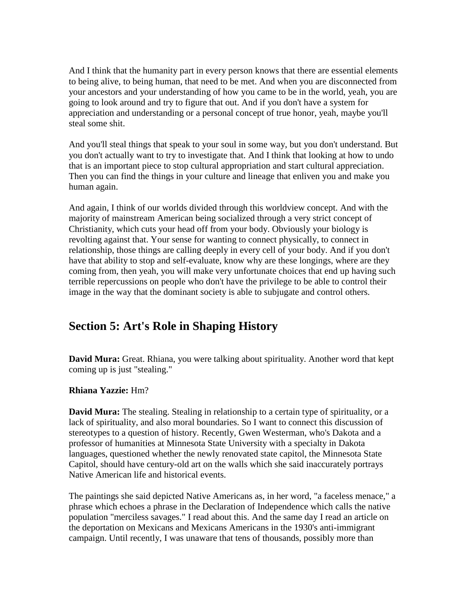And I think that the humanity part in every person knows that there are essential elements to being alive, to being human, that need to be met. And when you are disconnected from your ancestors and your understanding of how you came to be in the world, yeah, you are going to look around and try to figure that out. And if you don't have a system for appreciation and understanding or a personal concept of true honor, yeah, maybe you'll steal some shit.

And you'll steal things that speak to your soul in some way, but you don't understand. But you don't actually want to try to investigate that. And I think that looking at how to undo that is an important piece to stop cultural appropriation and start cultural appreciation. Then you can find the things in your culture and lineage that enliven you and make you human again.

And again, I think of our worlds divided through this worldview concept. And with the majority of mainstream American being socialized through a very strict concept of Christianity, which cuts your head off from your body. Obviously your biology is revolting against that. Your sense for wanting to connect physically, to connect in relationship, those things are calling deeply in every cell of your body. And if you don't have that ability to stop and self-evaluate, know why are these longings, where are they coming from, then yeah, you will make very unfortunate choices that end up having such terrible repercussions on people who don't have the privilege to be able to control their image in the way that the dominant society is able to subjugate and control others.

## **Section 5: Art's Role in Shaping History**

**David Mura:** Great. Rhiana, you were talking about spirituality. Another word that kept coming up is just "stealing."

### **Rhiana Yazzie:** Hm?

**David Mura:** The stealing. Stealing in relationship to a certain type of spirituality, or a lack of spirituality, and also moral boundaries. So I want to connect this discussion of stereotypes to a question of history. Recently, Gwen Westerman, who's Dakota and a professor of humanities at Minnesota State University with a specialty in Dakota languages, questioned whether the newly renovated state capitol, the Minnesota State Capitol, should have century-old art on the walls which she said inaccurately portrays Native American life and historical events.

The paintings she said depicted Native Americans as, in her word, "a faceless menace," a phrase which echoes a phrase in the Declaration of Independence which calls the native population "merciless savages." I read about this. And the same day I read an article on the deportation on Mexicans and Mexicans Americans in the 1930's anti-immigrant campaign. Until recently, I was unaware that tens of thousands, possibly more than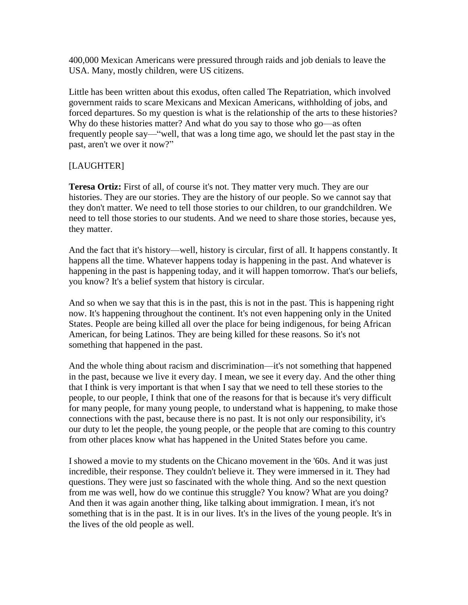400,000 Mexican Americans were pressured through raids and job denials to leave the USA. Many, mostly children, were US citizens.

Little has been written about this exodus, often called The Repatriation, which involved government raids to scare Mexicans and Mexican Americans, withholding of jobs, and forced departures. So my question is what is the relationship of the arts to these histories? Why do these histories matter? And what do you say to those who go—as often frequently people say—"well, that was a long time ago, we should let the past stay in the past, aren't we over it now?"

### [LAUGHTER]

**Teresa Ortiz:** First of all, of course it's not. They matter very much. They are our histories. They are our stories. They are the history of our people. So we cannot say that they don't matter. We need to tell those stories to our children, to our grandchildren. We need to tell those stories to our students. And we need to share those stories, because yes, they matter.

And the fact that it's history—well, history is circular, first of all. It happens constantly. It happens all the time. Whatever happens today is happening in the past. And whatever is happening in the past is happening today, and it will happen tomorrow. That's our beliefs, you know? It's a belief system that history is circular.

And so when we say that this is in the past, this is not in the past. This is happening right now. It's happening throughout the continent. It's not even happening only in the United States. People are being killed all over the place for being indigenous, for being African American, for being Latinos. They are being killed for these reasons. So it's not something that happened in the past.

And the whole thing about racism and discrimination—it's not something that happened in the past, because we live it every day. I mean, we see it every day. And the other thing that I think is very important is that when I say that we need to tell these stories to the people, to our people, I think that one of the reasons for that is because it's very difficult for many people, for many young people, to understand what is happening, to make those connections with the past, because there is no past. It is not only our responsibility, it's our duty to let the people, the young people, or the people that are coming to this country from other places know what has happened in the United States before you came.

I showed a movie to my students on the Chicano movement in the '60s. And it was just incredible, their response. They couldn't believe it. They were immersed in it. They had questions. They were just so fascinated with the whole thing. And so the next question from me was well, how do we continue this struggle? You know? What are you doing? And then it was again another thing, like talking about immigration. I mean, it's not something that is in the past. It is in our lives. It's in the lives of the young people. It's in the lives of the old people as well.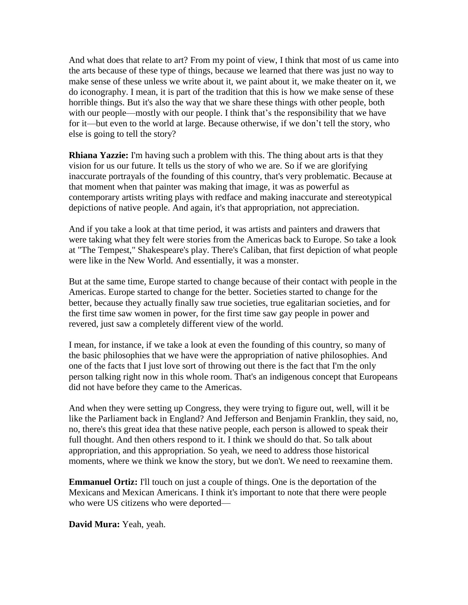And what does that relate to art? From my point of view, I think that most of us came into the arts because of these type of things, because we learned that there was just no way to make sense of these unless we write about it, we paint about it, we make theater on it, we do iconography. I mean, it is part of the tradition that this is how we make sense of these horrible things. But it's also the way that we share these things with other people, both with our people—mostly with our people. I think that's the responsibility that we have for it—but even to the world at large. Because otherwise, if we don't tell the story, who else is going to tell the story?

**Rhiana Yazzie:** I'm having such a problem with this. The thing about arts is that they vision for us our future. It tells us the story of who we are. So if we are glorifying inaccurate portrayals of the founding of this country, that's very problematic. Because at that moment when that painter was making that image, it was as powerful as contemporary artists writing plays with redface and making inaccurate and stereotypical depictions of native people. And again, it's that appropriation, not appreciation.

And if you take a look at that time period, it was artists and painters and drawers that were taking what they felt were stories from the Americas back to Europe. So take a look at "The Tempest," Shakespeare's play. There's Caliban, that first depiction of what people were like in the New World. And essentially, it was a monster.

But at the same time, Europe started to change because of their contact with people in the Americas. Europe started to change for the better. Societies started to change for the better, because they actually finally saw true societies, true egalitarian societies, and for the first time saw women in power, for the first time saw gay people in power and revered, just saw a completely different view of the world.

I mean, for instance, if we take a look at even the founding of this country, so many of the basic philosophies that we have were the appropriation of native philosophies. And one of the facts that I just love sort of throwing out there is the fact that I'm the only person talking right now in this whole room. That's an indigenous concept that Europeans did not have before they came to the Americas.

And when they were setting up Congress, they were trying to figure out, well, will it be like the Parliament back in England? And Jefferson and Benjamin Franklin, they said, no, no, there's this great idea that these native people, each person is allowed to speak their full thought. And then others respond to it. I think we should do that. So talk about appropriation, and this appropriation. So yeah, we need to address those historical moments, where we think we know the story, but we don't. We need to reexamine them.

**Emmanuel Ortiz:** I'll touch on just a couple of things. One is the deportation of the Mexicans and Mexican Americans. I think it's important to note that there were people who were US citizens who were deported—

**David Mura:** Yeah, yeah.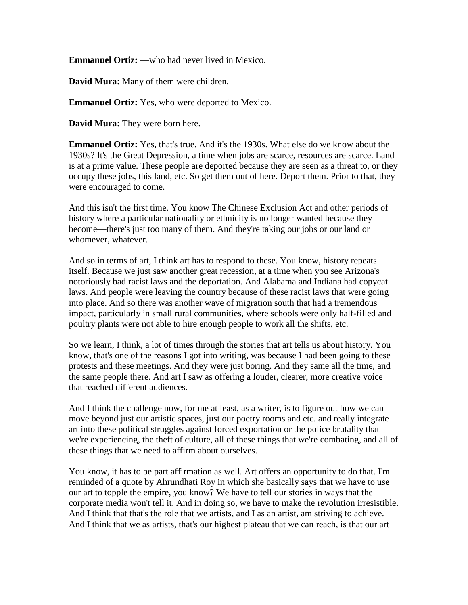**Emmanuel Ortiz:** —who had never lived in Mexico.

**David Mura:** Many of them were children.

**Emmanuel Ortiz:** Yes, who were deported to Mexico.

**David Mura:** They were born here.

**Emmanuel Ortiz:** Yes, that's true. And it's the 1930s. What else do we know about the 1930s? It's the Great Depression, a time when jobs are scarce, resources are scarce. Land is at a prime value. These people are deported because they are seen as a threat to, or they occupy these jobs, this land, etc. So get them out of here. Deport them. Prior to that, they were encouraged to come.

And this isn't the first time. You know The Chinese Exclusion Act and other periods of history where a particular nationality or ethnicity is no longer wanted because they become—there's just too many of them. And they're taking our jobs or our land or whomever, whatever.

And so in terms of art, I think art has to respond to these. You know, history repeats itself. Because we just saw another great recession, at a time when you see Arizona's notoriously bad racist laws and the deportation. And Alabama and Indiana had copycat laws. And people were leaving the country because of these racist laws that were going into place. And so there was another wave of migration south that had a tremendous impact, particularly in small rural communities, where schools were only half-filled and poultry plants were not able to hire enough people to work all the shifts, etc.

So we learn, I think, a lot of times through the stories that art tells us about history. You know, that's one of the reasons I got into writing, was because I had been going to these protests and these meetings. And they were just boring. And they same all the time, and the same people there. And art I saw as offering a louder, clearer, more creative voice that reached different audiences.

And I think the challenge now, for me at least, as a writer, is to figure out how we can move beyond just our artistic spaces, just our poetry rooms and etc. and really integrate art into these political struggles against forced exportation or the police brutality that we're experiencing, the theft of culture, all of these things that we're combating, and all of these things that we need to affirm about ourselves.

You know, it has to be part affirmation as well. Art offers an opportunity to do that. I'm reminded of a quote by Ahrundhati Roy in which she basically says that we have to use our art to topple the empire, you know? We have to tell our stories in ways that the corporate media won't tell it. And in doing so, we have to make the revolution irresistible. And I think that that's the role that we artists, and I as an artist, am striving to achieve. And I think that we as artists, that's our highest plateau that we can reach, is that our art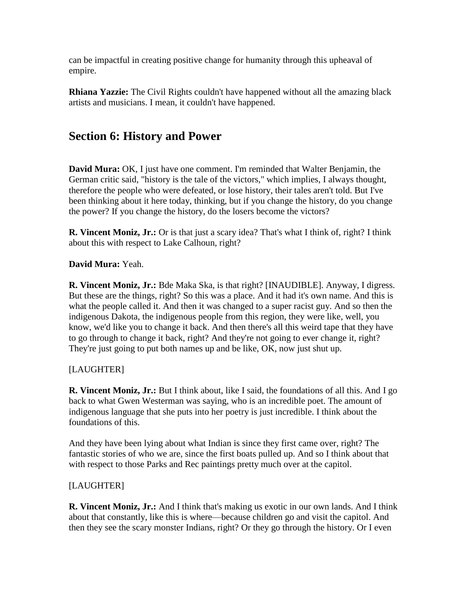can be impactful in creating positive change for humanity through this upheaval of empire.

**Rhiana Yazzie:** The Civil Rights couldn't have happened without all the amazing black artists and musicians. I mean, it couldn't have happened.

# **Section 6: History and Power**

**David Mura:** OK, I just have one comment. I'm reminded that Walter Benjamin, the German critic said, "history is the tale of the victors," which implies, I always thought, therefore the people who were defeated, or lose history, their tales aren't told. But I've been thinking about it here today, thinking, but if you change the history, do you change the power? If you change the history, do the losers become the victors?

**R. Vincent Moniz, Jr.:** Or is that just a scary idea? That's what I think of, right? I think about this with respect to Lake Calhoun, right?

### **David Mura:** Yeah.

**R. Vincent Moniz, Jr.:** Bde Maka Ska, is that right? [INAUDIBLE]. Anyway, I digress. But these are the things, right? So this was a place. And it had it's own name. And this is what the people called it. And then it was changed to a super racist guy. And so then the indigenous Dakota, the indigenous people from this region, they were like, well, you know, we'd like you to change it back. And then there's all this weird tape that they have to go through to change it back, right? And they're not going to ever change it, right? They're just going to put both names up and be like, OK, now just shut up.

### [LAUGHTER]

**R. Vincent Moniz, Jr.:** But I think about, like I said, the foundations of all this. And I go back to what Gwen Westerman was saying, who is an incredible poet. The amount of indigenous language that she puts into her poetry is just incredible. I think about the foundations of this.

And they have been lying about what Indian is since they first came over, right? The fantastic stories of who we are, since the first boats pulled up. And so I think about that with respect to those Parks and Rec paintings pretty much over at the capitol.

### [LAUGHTER]

**R. Vincent Moniz, Jr.:** And I think that's making us exotic in our own lands. And I think about that constantly, like this is where—because children go and visit the capitol. And then they see the scary monster Indians, right? Or they go through the history. Or I even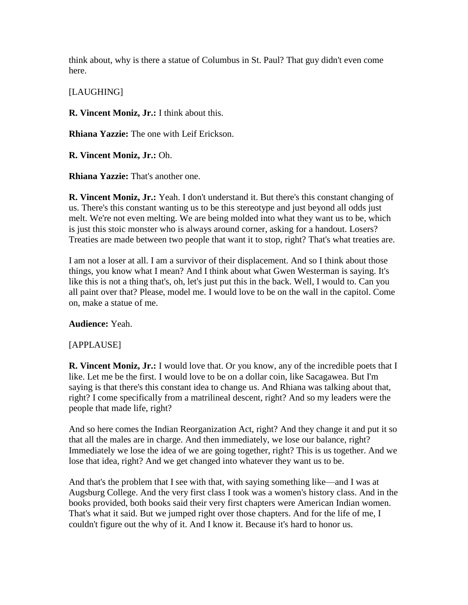think about, why is there a statue of Columbus in St. Paul? That guy didn't even come here.

[LAUGHING]

**R. Vincent Moniz, Jr.:** I think about this.

**Rhiana Yazzie:** The one with Leif Erickson.

**R. Vincent Moniz, Jr.:** Oh.

**Rhiana Yazzie:** That's another one.

**R. Vincent Moniz, Jr.:** Yeah. I don't understand it. But there's this constant changing of us. There's this constant wanting us to be this stereotype and just beyond all odds just melt. We're not even melting. We are being molded into what they want us to be, which is just this stoic monster who is always around corner, asking for a handout. Losers? Treaties are made between two people that want it to stop, right? That's what treaties are.

I am not a loser at all. I am a survivor of their displacement. And so I think about those things, you know what I mean? And I think about what Gwen Westerman is saying. It's like this is not a thing that's, oh, let's just put this in the back. Well, I would to. Can you all paint over that? Please, model me. I would love to be on the wall in the capitol. Come on, make a statue of me.

### **Audience:** Yeah.

### [APPLAUSE]

**R. Vincent Moniz, Jr.:** I would love that. Or you know, any of the incredible poets that I like. Let me be the first. I would love to be on a dollar coin, like Sacagawea. But I'm saying is that there's this constant idea to change us. And Rhiana was talking about that, right? I come specifically from a matrilineal descent, right? And so my leaders were the people that made life, right?

And so here comes the Indian Reorganization Act, right? And they change it and put it so that all the males are in charge. And then immediately, we lose our balance, right? Immediately we lose the idea of we are going together, right? This is us together. And we lose that idea, right? And we get changed into whatever they want us to be.

And that's the problem that I see with that, with saying something like—and I was at Augsburg College. And the very first class I took was a women's history class. And in the books provided, both books said their very first chapters were American Indian women. That's what it said. But we jumped right over those chapters. And for the life of me, I couldn't figure out the why of it. And I know it. Because it's hard to honor us.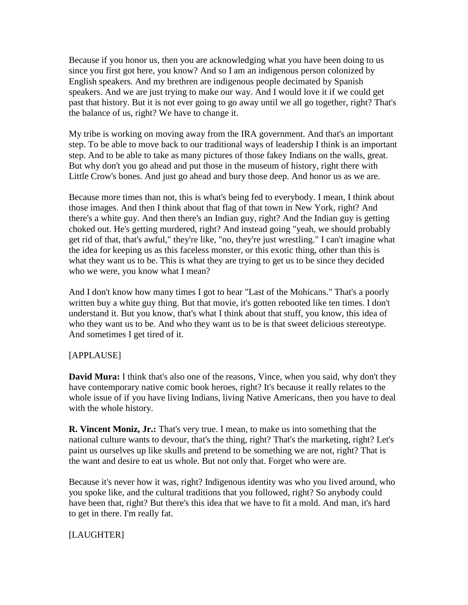Because if you honor us, then you are acknowledging what you have been doing to us since you first got here, you know? And so I am an indigenous person colonized by English speakers. And my brethren are indigenous people decimated by Spanish speakers. And we are just trying to make our way. And I would love it if we could get past that history. But it is not ever going to go away until we all go together, right? That's the balance of us, right? We have to change it.

My tribe is working on moving away from the IRA government. And that's an important step. To be able to move back to our traditional ways of leadership I think is an important step. And to be able to take as many pictures of those fakey Indians on the walls, great. But why don't you go ahead and put those in the museum of history, right there with Little Crow's bones. And just go ahead and bury those deep. And honor us as we are.

Because more times than not, this is what's being fed to everybody. I mean, I think about those images. And then I think about that flag of that town in New York, right? And there's a white guy. And then there's an Indian guy, right? And the Indian guy is getting choked out. He's getting murdered, right? And instead going "yeah, we should probably get rid of that, that's awful," they're like, "no, they're just wrestling." I can't imagine what the idea for keeping us as this faceless monster, or this exotic thing, other than this is what they want us to be. This is what they are trying to get us to be since they decided who we were, you know what I mean?

And I don't know how many times I got to hear "Last of the Mohicans." That's a poorly written buy a white guy thing. But that movie, it's gotten rebooted like ten times. I don't understand it. But you know, that's what I think about that stuff, you know, this idea of who they want us to be. And who they want us to be is that sweet delicious stereotype. And sometimes I get tired of it.

### [APPLAUSE]

**David Mura:** I think that's also one of the reasons, Vince, when you said, why don't they have contemporary native comic book heroes, right? It's because it really relates to the whole issue of if you have living Indians, living Native Americans, then you have to deal with the whole history.

**R. Vincent Moniz, Jr.:** That's very true. I mean, to make us into something that the national culture wants to devour, that's the thing, right? That's the marketing, right? Let's paint us ourselves up like skulls and pretend to be something we are not, right? That is the want and desire to eat us whole. But not only that. Forget who were are.

Because it's never how it was, right? Indigenous identity was who you lived around, who you spoke like, and the cultural traditions that you followed, right? So anybody could have been that, right? But there's this idea that we have to fit a mold. And man, it's hard to get in there. I'm really fat.

### [LAUGHTER]